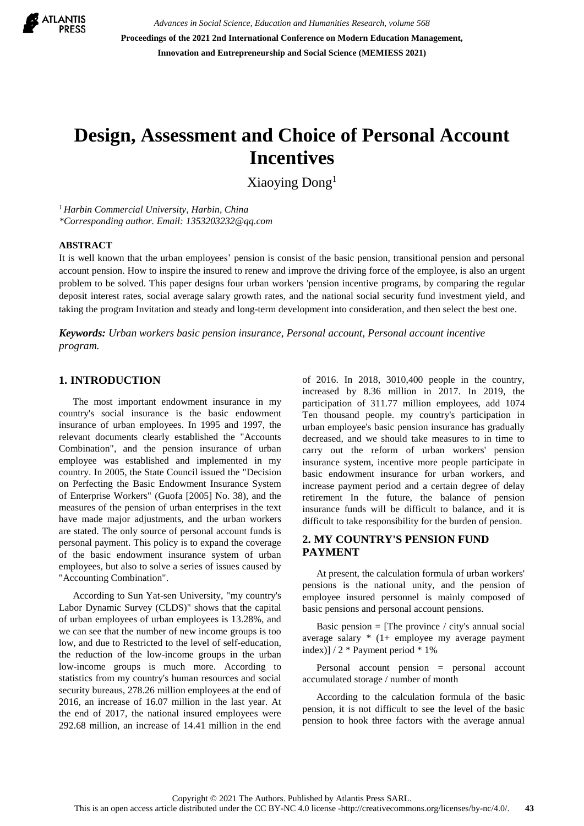

*Advances in Social Science, Education and Humanities Research, volume 568* **Proceedings of the 2021 2nd International Conference on Modern Education Management, Innovation and Entrepreneurship and Social Science (MEMIESS 2021)**

# **Design, Assessment and Choice of Personal Account Incentives**

Xiaoying Dong<sup>1</sup>

*<sup>1</sup> Harbin Commercial University, Harbin, China \*Corresponding author. Email: 1353203232@qq.com*

#### **ABSTRACT**

It is well known that the urban employees' pension is consist of the basic pension, transitional pension and personal account pension. How to inspire the insured to renew and improve the driving force of the employee, is also an urgent problem to be solved. This paper designs four urban workers 'pension incentive programs, by comparing the regular deposit interest rates, social average salary growth rates, and the national social security fund investment yield, and taking the program Invitation and steady and long-term development into consideration, and then select the best one.

*Keywords: Urban workers basic pension insurance, Personal account, Personal account incentive program.*

### **1. INTRODUCTION**

The most important endowment insurance in my country's social insurance is the basic endowment insurance of urban employees. In 1995 and 1997, the relevant documents clearly established the "Accounts Combination", and the pension insurance of urban employee was established and implemented in my country. In 2005, the State Council issued the "Decision on Perfecting the Basic Endowment Insurance System of Enterprise Workers" (Guofa [2005] No. 38), and the measures of the pension of urban enterprises in the text have made major adjustments, and the urban workers are stated. The only source of personal account funds is personal payment. This policy is to expand the coverage of the basic endowment insurance system of urban employees, but also to solve a series of issues caused by "Accounting Combination".

According to Sun Yat-sen University, "my country's Labor Dynamic Survey (CLDS)" shows that the capital of urban employees of urban employees is 13.28%, and we can see that the number of new income groups is too low, and due to Restricted to the level of self-education, the reduction of the low-income groups in the urban low-income groups is much more. According to statistics from my country's human resources and social security bureaus, 278.26 million employees at the end of 2016, an increase of 16.07 million in the last year. At the end of 2017, the national insured employees were 292.68 million, an increase of 14.41 million in the end of 2016. In 2018, 3010,400 people in the country, increased by 8.36 million in 2017. In 2019, the participation of 311.77 million employees, add 1074 Ten thousand people. my country's participation in urban employee's basic pension insurance has gradually decreased, and we should take measures to in time to carry out the reform of urban workers' pension insurance system, incentive more people participate in basic endowment insurance for urban workers, and increase payment period and a certain degree of delay retirement In the future, the balance of pension insurance funds will be difficult to balance, and it is difficult to take responsibility for the burden of pension.

#### **2. MY COUNTRY'S PENSION FUND PAYMENT**

At present, the calculation formula of urban workers' pensions is the national unity, and the pension of employee insured personnel is mainly composed of basic pensions and personal account pensions.

Basic pension  $=$  [The province / city's annual social average salary  $*(1+$  employee my average payment index)] / 2 \* Payment period \* 1%

Personal account pension = personal account accumulated storage / number of month

According to the calculation formula of the basic pension, it is not difficult to see the level of the basic pension to hook three factors with the average annual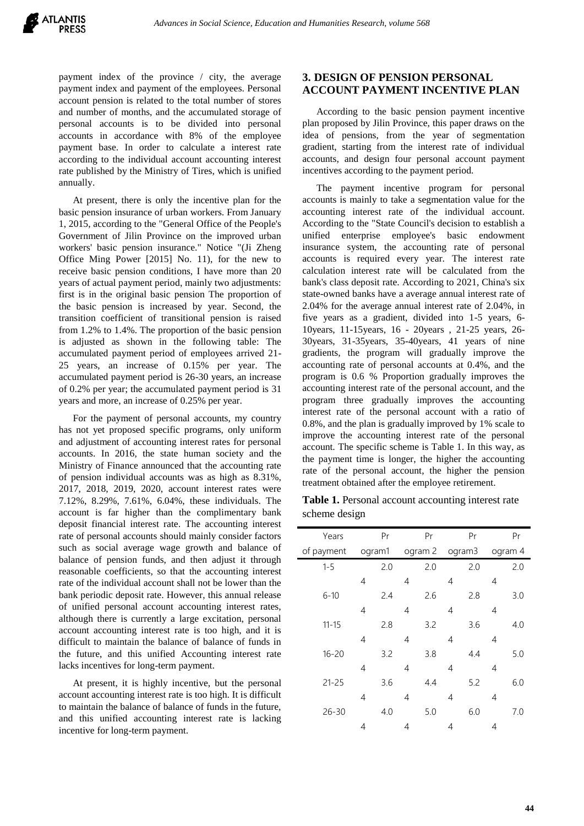payment index of the province / city, the average payment index and payment of the employees. Personal account pension is related to the total number of stores and number of months, and the accumulated storage of personal accounts is to be divided into personal accounts in accordance with 8% of the employee payment base. In order to calculate a interest rate according to the individual account accounting interest rate published by the Ministry of Tires, which is unified annually.

At present, there is only the incentive plan for the basic pension insurance of urban workers. From January 1, 2015, according to the "General Office of the People's Government of Jilin Province on the improved urban workers' basic pension insurance." Notice "(Ji Zheng Office Ming Power [2015] No. 11), for the new to receive basic pension conditions, I have more than 20 years of actual payment period, mainly two adjustments: first is in the original basic pension The proportion of the basic pension is increased by year. Second, the transition coefficient of transitional pension is raised from 1.2% to 1.4%. The proportion of the basic pension is adjusted as shown in the following table: The accumulated payment period of employees arrived 21- 25 years, an increase of 0.15% per year. The accumulated payment period is 26-30 years, an increase of 0.2% per year; the accumulated payment period is 31 years and more, an increase of 0.25% per year.

For the payment of personal accounts, my country has not yet proposed specific programs, only uniform and adjustment of accounting interest rates for personal accounts. In 2016, the state human society and the Ministry of Finance announced that the accounting rate of pension individual accounts was as high as 8.31%, 2017, 2018, 2019, 2020, account interest rates were 7.12%, 8.29%, 7.61%, 6.04%, these individuals. The account is far higher than the complimentary bank deposit financial interest rate. The accounting interest rate of personal accounts should mainly consider factors such as social average wage growth and balance of balance of pension funds, and then adjust it through reasonable coefficients, so that the accounting interest rate of the individual account shall not be lower than the bank periodic deposit rate. However, this annual release of unified personal account accounting interest rates, although there is currently a large excitation, personal account accounting interest rate is too high, and it is difficult to maintain the balance of balance of funds in the future, and this unified Accounting interest rate lacks incentives for long-term payment.

At present, it is highly incentive, but the personal account accounting interest rate is too high. It is difficult to maintain the balance of balance of funds in the future, and this unified accounting interest rate is lacking incentive for long-term payment.

# **3. DESIGN OF PENSION PERSONAL ACCOUNT PAYMENT INCENTIVE PLAN**

According to the basic pension payment incentive plan proposed by Jilin Province, this paper draws on the idea of pensions, from the year of segmentation gradient, starting from the interest rate of individual accounts, and design four personal account payment incentives according to the payment period.

The payment incentive program for personal accounts is mainly to take a segmentation value for the accounting interest rate of the individual account. According to the "State Council's decision to establish a unified enterprise employee's basic endowment insurance system, the accounting rate of personal accounts is required every year. The interest rate calculation interest rate will be calculated from the bank's class deposit rate. According to 2021, China's six state-owned banks have a average annual interest rate of 2.04% for the average annual interest rate of 2.04%, in five years as a gradient, divided into 1-5 years, 6- 10years, 11-15years, 16 - 20years , 21-25 years, 26- 30years, 31-35years, 35-40years, 41 years of nine gradients, the program will gradually improve the accounting rate of personal accounts at 0.4%, and the program is 0.6 % Proportion gradually improves the accounting interest rate of the personal account, and the program three gradually improves the accounting interest rate of the personal account with a ratio of 0.8%, and the plan is gradually improved by 1% scale to improve the accounting interest rate of the personal account. The specific scheme is Table 1. In this way, as the payment time is longer, the higher the accounting rate of the personal account, the higher the pension treatment obtained after the employee retirement.

**Table 1.** Personal account accounting interest rate scheme design

| Years      |                | Pr  |         | Pr  |        | Pr  |         | Pr  |
|------------|----------------|-----|---------|-----|--------|-----|---------|-----|
| of payment | ogram1         |     | ogram 2 |     | ogram3 |     | ogram 4 |     |
| $1 - 5$    |                | 2.0 |         | 2.0 |        | 2.0 |         | 2.0 |
|            | 4              |     | 4       |     | 4      |     | 4       |     |
| $6 - 10$   |                | 2.4 |         | 2.6 |        | 2.8 |         | 3.0 |
|            | 4              |     | 4       |     | 4      |     | 4       |     |
| $11 - 15$  |                | 2.8 |         | 3.2 |        | 3.6 |         | 4.0 |
|            | $\overline{4}$ |     | 4       |     | 4      |     | 4       |     |
| $16 - 20$  |                | 3.2 |         | 3.8 |        | 4.4 |         | 5.0 |
|            | $\overline{4}$ |     | 4       |     | 4      |     | 4       |     |
| $21 - 25$  |                | 3.6 |         | 4.4 |        | 5.2 |         | 6.0 |
|            | $\overline{4}$ |     | 4       |     | 4      |     | 4       |     |
| $26 - 30$  |                | 4.0 |         | 5.0 |        | 6.0 |         | 7.0 |
|            | 4              |     | 4       |     | 4      |     | 4       |     |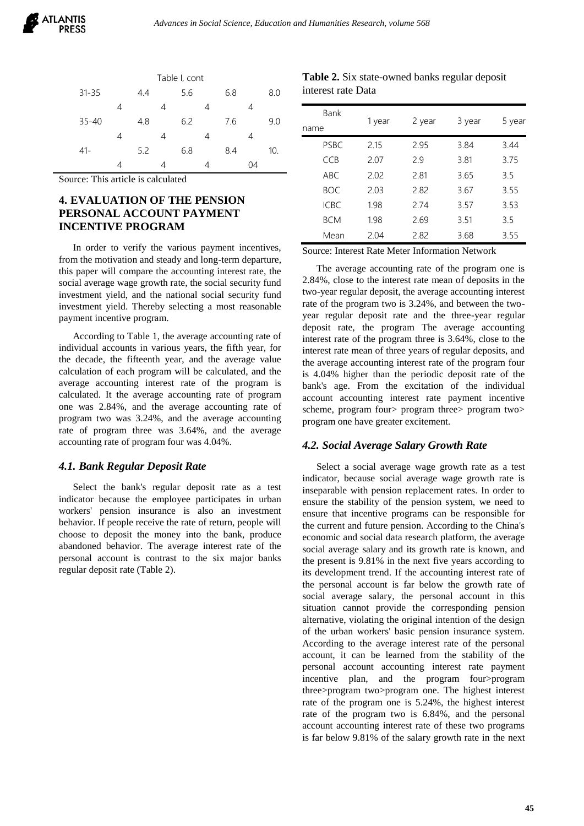|           |   |     |   | Table I, cont |   |     |    |     |
|-----------|---|-----|---|---------------|---|-----|----|-----|
| $31 - 35$ |   | 4.4 |   | 5.6           |   | 6.8 |    | 8.0 |
|           | 4 |     | 4 |               | 4 |     | 4  |     |
| $35 - 40$ |   | 4.8 |   | 6.2           |   | 7.6 |    | 9.0 |
|           | 4 |     | 4 |               | 4 |     | 4  |     |
| $41 -$    |   | 5.2 |   | 6.8           |   | 8.4 |    | 10. |
|           |   |     |   |               |   |     | 04 |     |

Source: This article is calculated

# **4. EVALUATION OF THE PENSION PERSONAL ACCOUNT PAYMENT INCENTIVE PROGRAM**

In order to verify the various payment incentives, from the motivation and steady and long-term departure, this paper will compare the accounting interest rate, the social average wage growth rate, the social security fund investment yield, and the national social security fund investment yield. Thereby selecting a most reasonable payment incentive program.

According to Table 1, the average accounting rate of individual accounts in various years, the fifth year, for the decade, the fifteenth year, and the average value calculation of each program will be calculated, and the average accounting interest rate of the program is calculated. It the average accounting rate of program one was 2.84%, and the average accounting rate of program two was 3.24%, and the average accounting rate of program three was 3.64%, and the average accounting rate of program four was 4.04%.

### *4.1. Bank Regular Deposit Rate*

Select the bank's regular deposit rate as a test indicator because the employee participates in urban workers' pension insurance is also an investment behavior. If people receive the rate of return, people will choose to deposit the money into the bank, produce abandoned behavior. The average interest rate of the personal account is contrast to the six major banks regular deposit rate (Table 2).

**Table 2.** Six state-owned banks regular deposit interest rate Data

| Bank             |        |        |        |        |  |
|------------------|--------|--------|--------|--------|--|
| name             | 1 year | 2 year | 3 year | 5 year |  |
| <b>PSBC</b>      | 2.15   | 2.95   | 3.84   | 3.44   |  |
| <b>CCB</b>       | 2.07   | 2.9    | 3.81   | 3.75   |  |
| ABC.             | 2.02   | 2.81   | 3.65   | 3.5    |  |
| BOC.             | 2.03   | 2.82   | 3.67   | 3.55   |  |
| IC <sub>BC</sub> | 1.98   | 274    | 3.57   | 3.53   |  |
| <b>BCM</b>       | 1.98   | 2.69   | 3.51   | 3.5    |  |
| Mean             | 2.04   | 2.82   | 3.68   | 3.55   |  |

Source: Interest Rate Meter Information Network

The average accounting rate of the program one is 2.84%, close to the interest rate mean of deposits in the two-year regular deposit, the average accounting interest rate of the program two is 3.24%, and between the twoyear regular deposit rate and the three-year regular deposit rate, the program The average accounting interest rate of the program three is 3.64%, close to the interest rate mean of three years of regular deposits, and the average accounting interest rate of the program four is 4.04% higher than the periodic deposit rate of the bank's age. From the excitation of the individual account accounting interest rate payment incentive scheme, program four program three program two program one have greater excitement.

### *4.2. Social Average Salary Growth Rate*

Select a social average wage growth rate as a test indicator, because social average wage growth rate is inseparable with pension replacement rates. In order to ensure the stability of the pension system, we need to ensure that incentive programs can be responsible for the current and future pension. According to the China's economic and social data research platform, the average social average salary and its growth rate is known, and the present is 9.81% in the next five years according to its development trend. If the accounting interest rate of the personal account is far below the growth rate of social average salary, the personal account in this situation cannot provide the corresponding pension alternative, violating the original intention of the design of the urban workers' basic pension insurance system. According to the average interest rate of the personal account, it can be learned from the stability of the personal account accounting interest rate payment incentive plan, and the program four>program three>program two>program one. The highest interest rate of the program one is 5.24%, the highest interest rate of the program two is 6.84%, and the personal account accounting interest rate of these two programs is far below 9.81% of the salary growth rate in the next